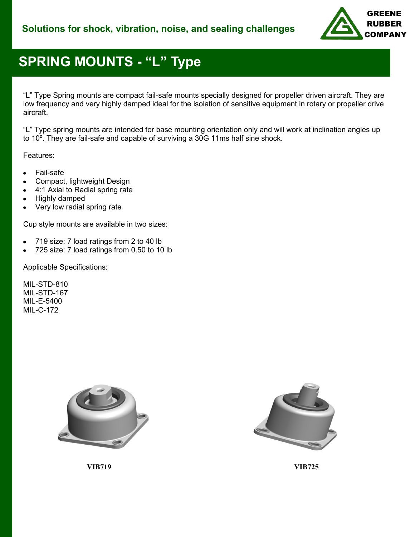

# **SPRING MOUNTS - "L" Type**

"L" Type Spring mounts are compact fail-safe mounts specially designed for propeller driven aircraft. They are low frequency and very highly damped ideal for the isolation of sensitive equipment in rotary or propeller drive aircraft.

"L" Type spring mounts are intended for base mounting orientation only and will work at inclination angles up to 10º. They are fail-safe and capable of surviving a 30G 11ms half sine shock.

Features:

- Fail-safe
- Compact, lightweight Design
- 4:1 Axial to Radial spring rate
- Highly damped
- Very low radial spring rate

Cup style mounts are available in two sizes:

- $\bullet$ 719 size: 7 load ratings from 2 to 40 lb
- 725 size: 7 load ratings from 0.50 to 10 lb

Applicable Specifications:

MIL-STD-810 MIL-STD-167 MIL-E-5400 MIL-C-172





**VIB719 VIB725**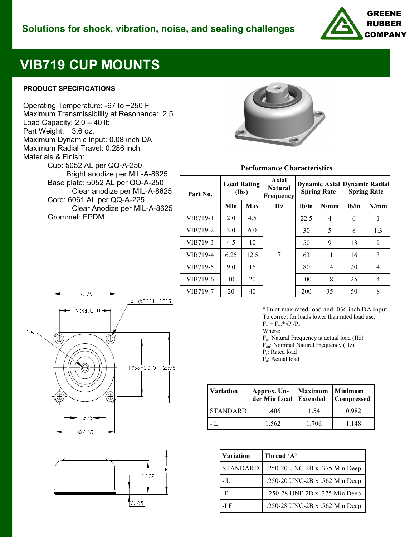

## **VIB719 CUP MOUNTS**

#### **PRODUCT SPECIFICATIONS**

Operating Temperature: -67 to +250 F Maximum Transmissibility at Resonance: 2.5 Load Capacity: 2.0 – 40 lb Part Weight: 3.6 oz. Maximum Dynamic Input: 0.08 inch DA Maximum Radial Travel: 0.286 inch Materials & Finish: Cup: 5052 AL per QQ-A-250

 Bright anodize per MIL-A-8625 Base plate: 5052 AL per QQ-A-250 Clear anodize per MIL-A-8625 Core: 6061 AL per QQ-A-225 Clear Anodize per MIL-A-8625 Grommet: EPDM



**Performance Characteristics**

| <b>Load Rating</b><br>(lbs) |      | Axial<br><b>Natural</b><br>Frequency | <b>Spring Rate</b> |                | <b>Spring Rate</b> |                                     |
|-----------------------------|------|--------------------------------------|--------------------|----------------|--------------------|-------------------------------------|
| Min                         | Max  | Hz                                   | $1b$ /in           | N/mm           | $1b$ /in           | N/mm                                |
| 2.0                         | 4.5  |                                      | 22.5               | $\overline{4}$ | 6                  | 1                                   |
| 3.0                         | 6.0  |                                      | 30                 | 5              | 8                  | 13                                  |
| 4.5                         | 10   |                                      | 50                 | 9              | 13                 | 2                                   |
| 6.25                        | 12.5 | 7                                    | 63                 | 11             | 16                 | 3                                   |
| 9.0                         | 16   |                                      | 80                 | 14             | 20                 | $\overline{4}$                      |
| 10                          | 20   |                                      | 100                | 18             | 25                 | 4                                   |
| 20                          | 40   |                                      | 200                | 35             | 50                 | 8                                   |
|                             |      |                                      |                    |                |                    | <b>Dynamic Axial Dynamic Radial</b> |



\*Fn at max rated load and .036 inch DA input To correct for loads lower than rated load use:  $F_n = F_{nn} * \sqrt{P_r/P_a}$ 

Where:

Fn: Natural Frequency at actual load (Hz)

Fnn: Nominal Natural Frequency (Hz)

Pr : Rated load

Pa : Actual load

| <b>Variation</b> | Approx. Un-<br>der Min Load Extended | <b>Maximum</b> | <b>Minimum</b><br><b>Compressed</b> |  |
|------------------|--------------------------------------|----------------|-------------------------------------|--|
| <b>STANDARD</b>  | 1.406                                | 1.54           | 0.982                               |  |
|                  | 1.562                                | 1.706          | 1.148                               |  |

| <b>Variation</b> | Thread 'A'                     |  |
|------------------|--------------------------------|--|
| <b>STANDARD</b>  | .250-20 UNC-2B x .375 Min Deep |  |
| - L              | .250-20 UNC-2B x .562 Min Deep |  |
| -F               | .250-28 UNF-2B x .375 Min Deep |  |
| -LF              | .250-28 UNC-2B x .562 Min Deep |  |